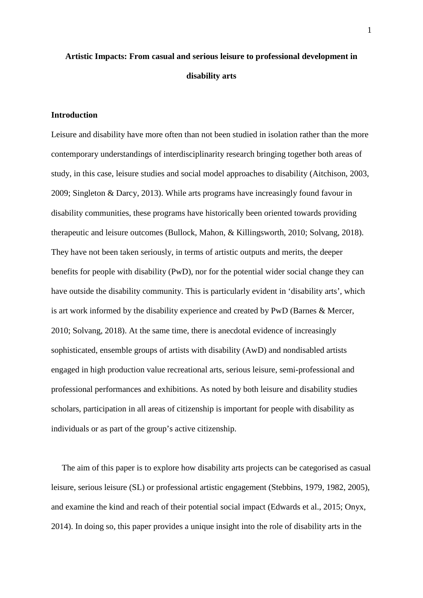# **Artistic Impacts: From casual and serious leisure to professional development in disability arts**

# **Introduction**

Leisure and disability have more often than not been studied in isolation rather than the more contemporary understandings of interdisciplinarity research bringing together both areas of study, in this case, leisure studies and social model approaches to disability (Aitchison, 2003, 2009; Singleton & Darcy, 2013). While arts programs have increasingly found favour in disability communities, these programs have historically been oriented towards providing therapeutic and leisure outcomes (Bullock, Mahon, & Killingsworth, 2010; Solvang, 2018). They have not been taken seriously, in terms of artistic outputs and merits, the deeper benefits for people with disability (PwD), nor for the potential wider social change they can have outside the disability community. This is particularly evident in 'disability arts', which is art work informed by the disability experience and created by PwD (Barnes & Mercer, 2010; Solvang, 2018). At the same time, there is anecdotal evidence of increasingly sophisticated, ensemble groups of artists with disability (AwD) and nondisabled artists engaged in high production value recreational arts, serious leisure, semi-professional and professional performances and exhibitions. As noted by both leisure and disability studies scholars, participation in all areas of citizenship is important for people with disability as individuals or as part of the group's active citizenship.

 The aim of this paper is to explore how disability arts projects can be categorised as casual leisure, serious leisure (SL) or professional artistic engagement (Stebbins, 1979, 1982, 2005), and examine the kind and reach of their potential social impact (Edwards et al., 2015; Onyx, 2014). In doing so, this paper provides a unique insight into the role of disability arts in the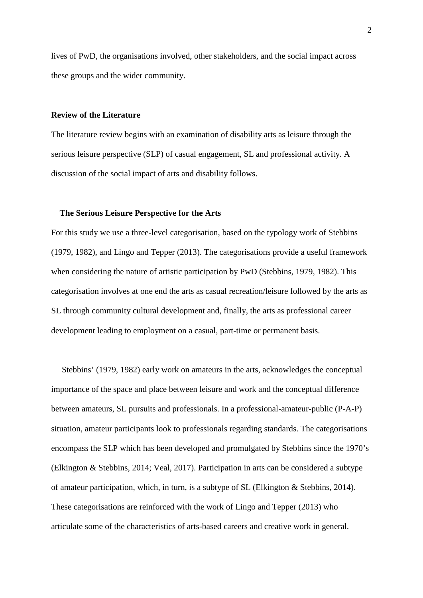lives of PwD, the organisations involved, other stakeholders, and the social impact across these groups and the wider community.

# **Review of the Literature**

The literature review begins with an examination of disability arts as leisure through the serious leisure perspective (SLP) of casual engagement, SL and professional activity. A discussion of the social impact of arts and disability follows.

## **The Serious Leisure Perspective for the Arts**

For this study we use a three-level categorisation, based on the typology work of Stebbins (1979, 1982), and Lingo and Tepper (2013). The categorisations provide a useful framework when considering the nature of artistic participation by PwD (Stebbins, 1979, 1982). This categorisation involves at one end the arts as casual recreation/leisure followed by the arts as SL through community cultural development and, finally, the arts as professional career development leading to employment on a casual, part-time or permanent basis.

 Stebbins' (1979, 1982) early work on amateurs in the arts, acknowledges the conceptual importance of the space and place between leisure and work and the conceptual difference between amateurs, SL pursuits and professionals. In a professional-amateur-public (P-A-P) situation, amateur participants look to professionals regarding standards. The categorisations encompass the SLP which has been developed and promulgated by Stebbins since the 1970's (Elkington & Stebbins, 2014; Veal, 2017). Participation in arts can be considered a subtype of amateur participation, which, in turn, is a subtype of SL (Elkington & Stebbins, 2014). These categorisations are reinforced with the work of Lingo and Tepper (2013) who articulate some of the characteristics of arts-based careers and creative work in general.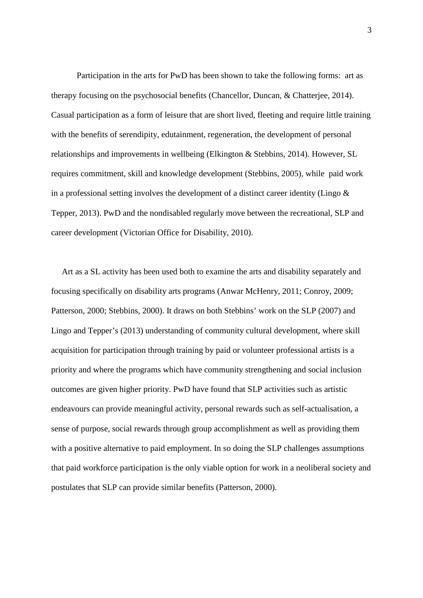Participation in the arts for PwD has been shown to take the following forms: art as therapy focusing on the psychosocial benefits (Chancellor, Duncan, & Chatterjee, 2014). Casual participation as a form of leisure that are short lived, fleeting and require little training with the benefits of serendipity, edutainment, regeneration, the development of personal relationships and improvements in wellbeing (Elkington & Stebbins, 2014). However, SL requires commitment, skill and knowledge development (Stebbins, 2005), while paid work in a professional setting involves the development of a distinct career identity (Lingo & Tepper, 2013). PwD and the nondisabled regularly move between the recreational, SLP and career development (Victorian Office for Disability, 2010).

 Art as a SL activity has been used both to examine the arts and disability separately and focusing specifically on disability arts programs (Anwar McHenry, 2011; Conroy, 2009; Patterson, 2000; Stebbins, 2000). It draws on both Stebbins' work on the SLP (2007) and Lingo and Tepper's (2013) understanding of community cultural development, where skill acquisition for participation through training by paid or volunteer professional artists is a priority and where the programs which have community strengthening and social inclusion outcomes are given higher priority. PwD have found that SLP activities such as artistic endeavours can provide meaningful activity, personal rewards such as self-actualisation, a sense of purpose, social rewards through group accomplishment as well as providing them with a positive alternative to paid employment. In so doing the SLP challenges assumptions that paid workforce participation is the only viable option for work in a neoliberal society and postulates that SLP can provide similar benefits (Patterson, 2000).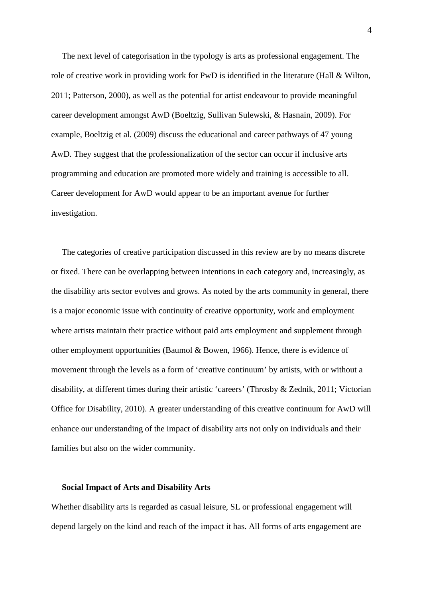The next level of categorisation in the typology is arts as professional engagement. The role of creative work in providing work for PwD is identified in the literature (Hall & Wilton, 2011; Patterson, 2000), as well as the potential for artist endeavour to provide meaningful career development amongst AwD (Boeltzig, Sullivan Sulewski, & Hasnain, 2009). For example, Boeltzig et al. (2009) discuss the educational and career pathways of 47 young AwD. They suggest that the professionalization of the sector can occur if inclusive arts programming and education are promoted more widely and training is accessible to all. Career development for AwD would appear to be an important avenue for further investigation.

 The categories of creative participation discussed in this review are by no means discrete or fixed. There can be overlapping between intentions in each category and, increasingly, as the disability arts sector evolves and grows. As noted by the arts community in general, there is a major economic issue with continuity of creative opportunity, work and employment where artists maintain their practice without paid arts employment and supplement through other employment opportunities (Baumol  $\&$  Bowen, 1966). Hence, there is evidence of movement through the levels as a form of 'creative continuum' by artists, with or without a disability, at different times during their artistic 'careers' (Throsby & Zednik, 2011; Victorian Office for Disability, 2010). A greater understanding of this creative continuum for AwD will enhance our understanding of the impact of disability arts not only on individuals and their families but also on the wider community.

## **Social Impact of Arts and Disability Arts**

Whether disability arts is regarded as casual leisure, SL or professional engagement will depend largely on the kind and reach of the impact it has. All forms of arts engagement are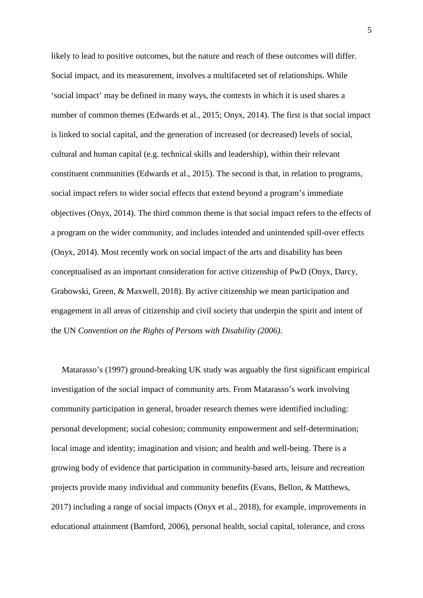likely to lead to positive outcomes, but the nature and reach of these outcomes will differ. Social impact, and its measurement, involves a multifaceted set of relationships. While 'social impact' may be defined in many ways, the contexts in which it is used shares a number of common themes (Edwards et al., 2015; Onyx, 2014). The first is that social impact is linked to social capital, and the generation of increased (or decreased) levels of social, cultural and human capital (e.g. technical skills and leadership), within their relevant constituent communities (Edwards et al., 2015). The second is that, in relation to programs, social impact refers to wider social effects that extend beyond a program's immediate objectives (Onyx, 2014). The third common theme is that social impact refers to the effects of a program on the wider community, and includes intended and unintended spill-over effects (Onyx, 2014). Most recently work on social impact of the arts and disability has been conceptualised as an important consideration for active citizenship of PwD (Onyx, Darcy, Grabowski, Green, & Maxwell, 2018). By active citizenship we mean participation and engagement in all areas of citizenship and civil society that underpin the spirit and intent of the UN *Convention on the Rights of Persons with Disability (2006)*.

 Matarasso's (1997) ground-breaking UK study was arguably the first significant empirical investigation of the social impact of community arts. From Matarasso's work involving community participation in general, broader research themes were identified including: personal development; social cohesion; community empowerment and self-determination; local image and identity; imagination and vision; and health and well-being. There is a growing body of evidence that participation in community-based arts, leisure and recreation projects provide many individual and community benefits (Evans, Bellon, & Matthews, 2017) including a range of social impacts (Onyx et al., 2018), for example, improvements in educational attainment (Bamford, 2006), personal health, social capital, tolerance, and cross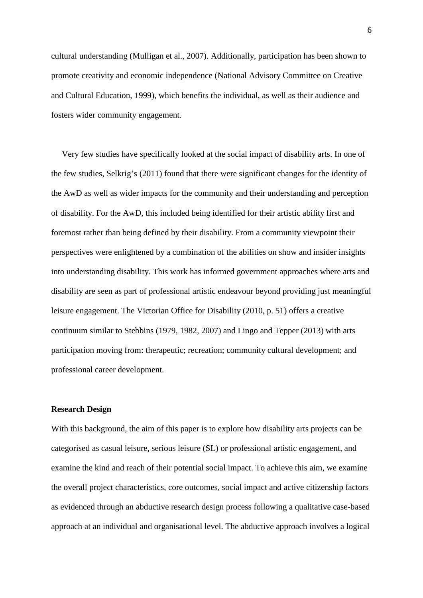cultural understanding (Mulligan et al., 2007). Additionally, participation has been shown to promote creativity and economic independence (National Advisory Committee on Creative and Cultural Education, 1999), which benefits the individual, as well as their audience and fosters wider community engagement.

 Very few studies have specifically looked at the social impact of disability arts. In one of the few studies, Selkrig's (2011) found that there were significant changes for the identity of the AwD as well as wider impacts for the community and their understanding and perception of disability. For the AwD, this included being identified for their artistic ability first and foremost rather than being defined by their disability. From a community viewpoint their perspectives were enlightened by a combination of the abilities on show and insider insights into understanding disability. This work has informed government approaches where arts and disability are seen as part of professional artistic endeavour beyond providing just meaningful leisure engagement. The Victorian Office for Disability (2010, p. 51) offers a creative continuum similar to Stebbins (1979, 1982, 2007) and Lingo and Tepper (2013) with arts participation moving from: therapeutic; recreation; community cultural development; and professional career development.

# **Research Design**

With this background, the aim of this paper is to explore how disability arts projects can be categorised as casual leisure, serious leisure (SL) or professional artistic engagement, and examine the kind and reach of their potential social impact. To achieve this aim, we examine the overall project characteristics, core outcomes, social impact and active citizenship factors as evidenced through an abductive research design process following a qualitative case-based approach at an individual and organisational level. The abductive approach involves a logical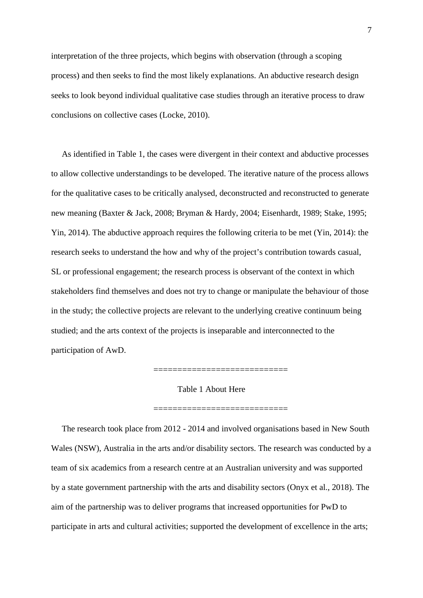interpretation of the three projects, which begins with observation (through a scoping process) and then seeks to find the most likely explanations. An abductive research design seeks to look beyond individual qualitative case studies through an iterative process to draw conclusions on collective cases (Locke, 2010).

 As identified in Table 1, the cases were divergent in their context and abductive processes to allow collective understandings to be developed. The iterative nature of the process allows for the qualitative cases to be critically analysed, deconstructed and reconstructed to generate new meaning (Baxter & Jack, 2008; Bryman & Hardy, 2004; Eisenhardt, 1989; Stake, 1995; Yin, 2014). The abductive approach requires the following criteria to be met (Yin, 2014): the research seeks to understand the how and why of the project's contribution towards casual, SL or professional engagement; the research process is observant of the context in which stakeholders find themselves and does not try to change or manipulate the behaviour of those in the study; the collective projects are relevant to the underlying creative continuum being studied; and the arts context of the projects is inseparable and interconnected to the participation of AwD.

Table 1 About Here

=============================

==========================

 The research took place from 2012 - 2014 and involved organisations based in New South Wales (NSW), Australia in the arts and/or disability sectors. The research was conducted by a team of six academics from a research centre at an Australian university and was supported by a state government partnership with the arts and disability sectors (Onyx et al., 2018). The aim of the partnership was to deliver programs that increased opportunities for PwD to participate in arts and cultural activities; supported the development of excellence in the arts;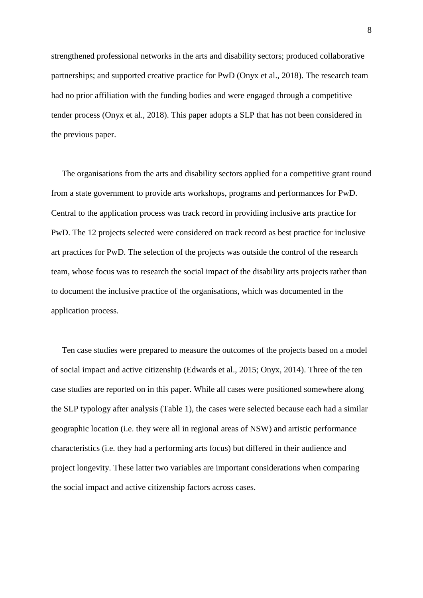strengthened professional networks in the arts and disability sectors; produced collaborative partnerships; and supported creative practice for PwD (Onyx et al., 2018). The research team had no prior affiliation with the funding bodies and were engaged through a competitive tender process (Onyx et al., 2018). This paper adopts a SLP that has not been considered in the previous paper.

 The organisations from the arts and disability sectors applied for a competitive grant round from a state government to provide arts workshops, programs and performances for PwD. Central to the application process was track record in providing inclusive arts practice for PwD. The 12 projects selected were considered on track record as best practice for inclusive art practices for PwD. The selection of the projects was outside the control of the research team, whose focus was to research the social impact of the disability arts projects rather than to document the inclusive practice of the organisations, which was documented in the application process.

 Ten case studies were prepared to measure the outcomes of the projects based on a model of social impact and active citizenship (Edwards et al., 2015; Onyx, 2014). Three of the ten case studies are reported on in this paper. While all cases were positioned somewhere along the SLP typology after analysis (Table 1), the cases were selected because each had a similar geographic location (i.e. they were all in regional areas of NSW) and artistic performance characteristics (i.e. they had a performing arts focus) but differed in their audience and project longevity. These latter two variables are important considerations when comparing the social impact and active citizenship factors across cases.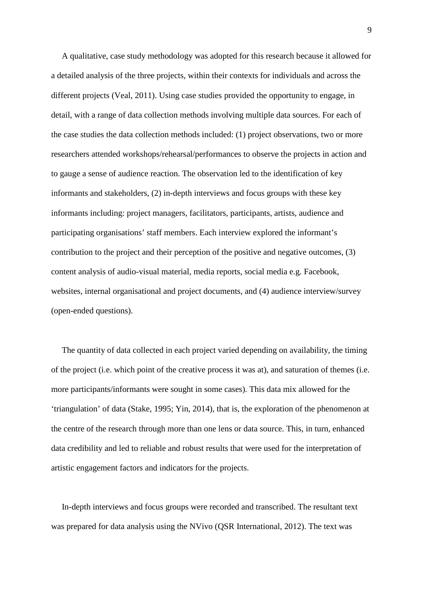A qualitative, case study methodology was adopted for this research because it allowed for a detailed analysis of the three projects, within their contexts for individuals and across the different projects (Veal, 2011). Using case studies provided the opportunity to engage, in detail, with a range of data collection methods involving multiple data sources. For each of the case studies the data collection methods included: (1) project observations, two or more researchers attended workshops/rehearsal/performances to observe the projects in action and to gauge a sense of audience reaction. The observation led to the identification of key informants and stakeholders, (2) in-depth interviews and focus groups with these key informants including: project managers, facilitators, participants, artists, audience and participating organisations' staff members. Each interview explored the informant's contribution to the project and their perception of the positive and negative outcomes, (3) content analysis of audio-visual material, media reports, social media e.g. Facebook, websites, internal organisational and project documents, and (4) audience interview/survey (open-ended questions).

 The quantity of data collected in each project varied depending on availability, the timing of the project (i.e. which point of the creative process it was at), and saturation of themes (i.e. more participants/informants were sought in some cases). This data mix allowed for the 'triangulation' of data (Stake, 1995; Yin, 2014), that is, the exploration of the phenomenon at the centre of the research through more than one lens or data source. This, in turn, enhanced data credibility and led to reliable and robust results that were used for the interpretation of artistic engagement factors and indicators for the projects.

 In-depth interviews and focus groups were recorded and transcribed. The resultant text was prepared for data analysis using the NVivo (QSR International, 2012). The text was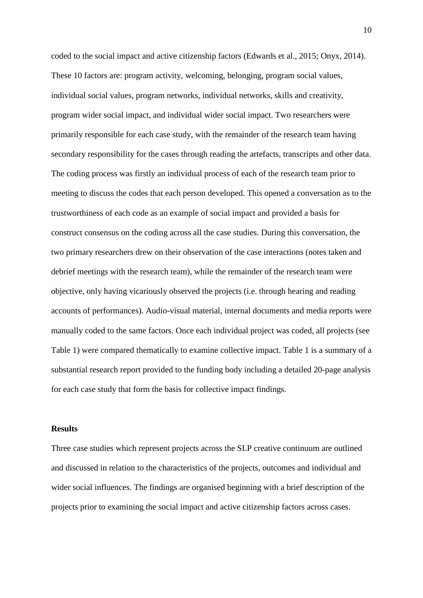coded to the social impact and active citizenship factors (Edwards et al., 2015; Onyx, 2014). These 10 factors are: program activity, welcoming, belonging, program social values, individual social values, program networks, individual networks, skills and creativity, program wider social impact, and individual wider social impact. Two researchers were primarily responsible for each case study, with the remainder of the research team having secondary responsibility for the cases through reading the artefacts, transcripts and other data. The coding process was firstly an individual process of each of the research team prior to meeting to discuss the codes that each person developed. This opened a conversation as to the trustworthiness of each code as an example of social impact and provided a basis for construct consensus on the coding across all the case studies. During this conversation, the two primary researchers drew on their observation of the case interactions (notes taken and debrief meetings with the research team), while the remainder of the research team were objective, only having vicariously observed the projects (i.e. through hearing and reading accounts of performances). Audio-visual material, internal documents and media reports were manually coded to the same factors. Once each individual project was coded, all projects (see Table 1) were compared thematically to examine collective impact. Table 1 is a summary of a substantial research report provided to the funding body including a detailed 20-page analysis for each case study that form the basis for collective impact findings.

## **Results**

Three case studies which represent projects across the SLP creative continuum are outlined and discussed in relation to the characteristics of the projects, outcomes and individual and wider social influences. The findings are organised beginning with a brief description of the projects prior to examining the social impact and active citizenship factors across cases.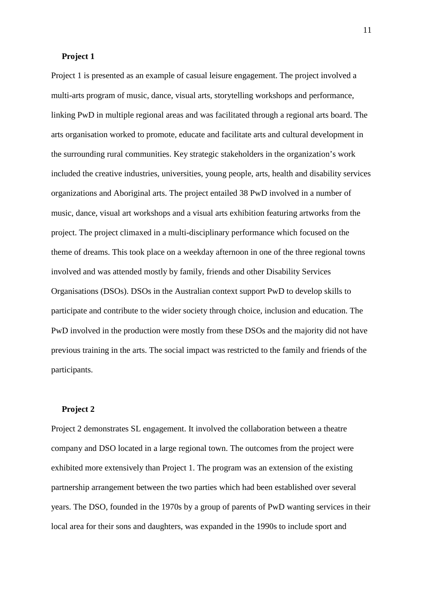## **Project 1**

Project 1 is presented as an example of casual leisure engagement. The project involved a multi-arts program of music, dance, visual arts, storytelling workshops and performance, linking PwD in multiple regional areas and was facilitated through a regional arts board. The arts organisation worked to promote, educate and facilitate arts and cultural development in the surrounding rural communities. Key strategic stakeholders in the organization's work included the creative industries, universities, young people, arts, health and disability services organizations and Aboriginal arts. The project entailed 38 PwD involved in a number of music, dance, visual art workshops and a visual arts exhibition featuring artworks from the project. The project climaxed in a multi-disciplinary performance which focused on the theme of dreams. This took place on a weekday afternoon in one of the three regional towns involved and was attended mostly by family, friends and other Disability Services Organisations (DSOs). DSOs in the Australian context support PwD to develop skills to participate and contribute to the wider society through choice, inclusion and education. The PwD involved in the production were mostly from these DSOs and the majority did not have previous training in the arts. The social impact was restricted to the family and friends of the participants.

# **Project 2**

Project 2 demonstrates SL engagement. It involved the collaboration between a theatre company and DSO located in a large regional town. The outcomes from the project were exhibited more extensively than Project 1. The program was an extension of the existing partnership arrangement between the two parties which had been established over several years. The DSO, founded in the 1970s by a group of parents of PwD wanting services in their local area for their sons and daughters, was expanded in the 1990s to include sport and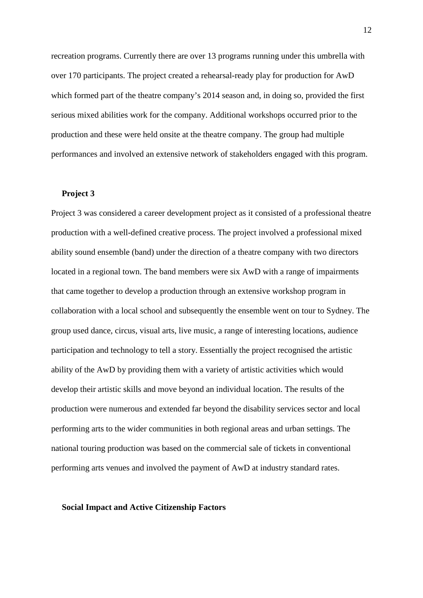recreation programs. Currently there are over 13 programs running under this umbrella with over 170 participants. The project created a rehearsal-ready play for production for AwD which formed part of the theatre company's 2014 season and, in doing so, provided the first serious mixed abilities work for the company. Additional workshops occurred prior to the production and these were held onsite at the theatre company. The group had multiple performances and involved an extensive network of stakeholders engaged with this program.

#### **Project 3**

Project 3 was considered a career development project as it consisted of a professional theatre production with a well-defined creative process. The project involved a professional mixed ability sound ensemble (band) under the direction of a theatre company with two directors located in a regional town. The band members were six AwD with a range of impairments that came together to develop a production through an extensive workshop program in collaboration with a local school and subsequently the ensemble went on tour to Sydney. The group used dance, circus, visual arts, live music, a range of interesting locations, audience participation and technology to tell a story. Essentially the project recognised the artistic ability of the AwD by providing them with a variety of artistic activities which would develop their artistic skills and move beyond an individual location. The results of the production were numerous and extended far beyond the disability services sector and local performing arts to the wider communities in both regional areas and urban settings. The national touring production was based on the commercial sale of tickets in conventional performing arts venues and involved the payment of AwD at industry standard rates.

#### **Social Impact and Active Citizenship Factors**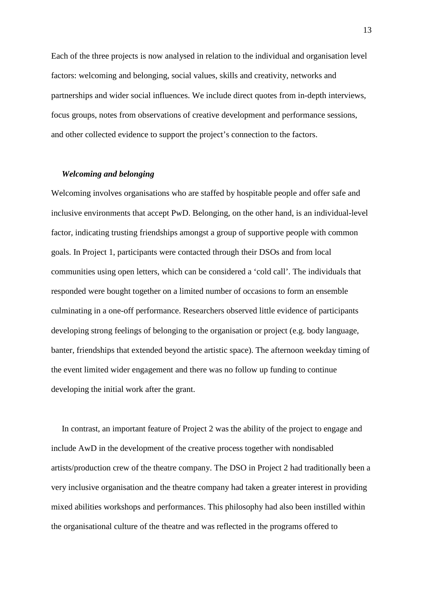Each of the three projects is now analysed in relation to the individual and organisation level factors: welcoming and belonging, social values, skills and creativity, networks and partnerships and wider social influences. We include direct quotes from in-depth interviews, focus groups, notes from observations of creative development and performance sessions, and other collected evidence to support the project's connection to the factors.

## *Welcoming and belonging*

Welcoming involves organisations who are staffed by hospitable people and offer safe and inclusive environments that accept PwD. Belonging, on the other hand, is an individual-level factor, indicating trusting friendships amongst a group of supportive people with common goals. In Project 1, participants were contacted through their DSOs and from local communities using open letters, which can be considered a 'cold call'. The individuals that responded were bought together on a limited number of occasions to form an ensemble culminating in a one-off performance. Researchers observed little evidence of participants developing strong feelings of belonging to the organisation or project (e.g. body language, banter, friendships that extended beyond the artistic space). The afternoon weekday timing of the event limited wider engagement and there was no follow up funding to continue developing the initial work after the grant.

 In contrast, an important feature of Project 2 was the ability of the project to engage and include AwD in the development of the creative process together with nondisabled artists/production crew of the theatre company. The DSO in Project 2 had traditionally been a very inclusive organisation and the theatre company had taken a greater interest in providing mixed abilities workshops and performances. This philosophy had also been instilled within the organisational culture of the theatre and was reflected in the programs offered to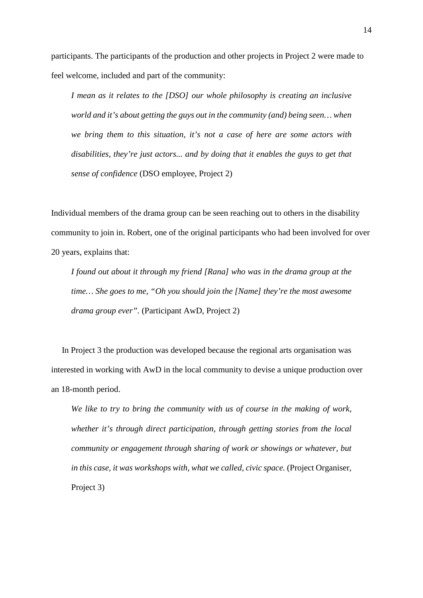participants. The participants of the production and other projects in Project 2 were made to feel welcome, included and part of the community:

*I mean as it relates to the [DSO] our whole philosophy is creating an inclusive world and it's about getting the guys out in the community (and) being seen… when we bring them to this situation, it's not a case of here are some actors with disabilities, they're just actors... and by doing that it enables the guys to get that sense of confidence* (DSO employee, Project 2)

Individual members of the drama group can be seen reaching out to others in the disability community to join in. Robert, one of the original participants who had been involved for over 20 years, explains that:

*I found out about it through my friend [Rana] who was in the drama group at the time… She goes to me, "Oh you should join the [Name] they're the most awesome drama group ever".* (Participant AwD, Project 2)

 In Project 3 the production was developed because the regional arts organisation was interested in working with AwD in the local community to devise a unique production over an 18-month period.

*We like to try to bring the community with us of course in the making of work, whether it's through direct participation, through getting stories from the local community or engagement through sharing of work or showings or whatever, but in this case, it was workshops with, what we called, civic space.* (Project Organiser, Project 3)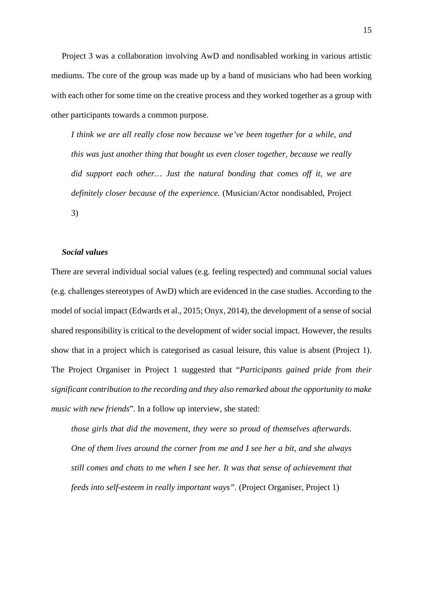Project 3 was a collaboration involving AwD and nondisabled working in various artistic mediums. The core of the group was made up by a band of musicians who had been working with each other for some time on the creative process and they worked together as a group with other participants towards a common purpose.

*I think we are all really close now because we've been together for a while, and this was just another thing that bought us even closer together, because we really did support each other… Just the natural bonding that comes off it, we are definitely closer because of the experience.* (Musician/Actor nondisabled, Project 3)

# *Social values*

There are several individual social values (e.g. feeling respected) and communal social values (e.g. challenges stereotypes of AwD) which are evidenced in the case studies. According to the model of social impact (Edwards et al., 2015; Onyx, 2014), the development of a sense of social shared responsibility is critical to the development of wider social impact. However, the results show that in a project which is categorised as casual leisure, this value is absent (Project 1). The Project Organiser in Project 1 suggested that "*Participants gained pride from their significant contribution to the recording and they also remarked about the opportunity to make music with new friends*". In a follow up interview, she stated:

*those girls that did the movement, they were so proud of themselves afterwards. One of them lives around the corner from me and I see her a bit, and she always still comes and chats to me when I see her. It was that sense of achievement that feeds into self-esteem in really important ways".* (Project Organiser, Project 1)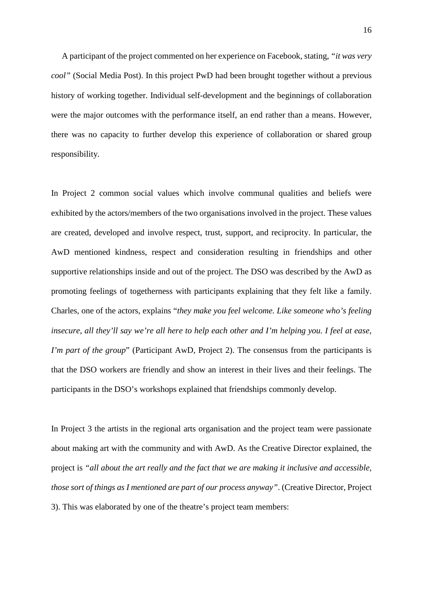A participant of the project commented on her experience on Facebook, stating, *"it was very cool"* (Social Media Post). In this project PwD had been brought together without a previous history of working together. Individual self-development and the beginnings of collaboration were the major outcomes with the performance itself, an end rather than a means. However, there was no capacity to further develop this experience of collaboration or shared group responsibility.

In Project 2 common social values which involve communal qualities and beliefs were exhibited by the actors/members of the two organisations involved in the project. These values are created, developed and involve respect, trust, support, and reciprocity. In particular, the AwD mentioned kindness, respect and consideration resulting in friendships and other supportive relationships inside and out of the project. The DSO was described by the AwD as promoting feelings of togetherness with participants explaining that they felt like a family. Charles, one of the actors, explains "*they make you feel welcome. Like someone who's feeling insecure, all they'll say we're all here to help each other and I'm helping you. I feel at ease, I'm part of the group*" (Participant AwD, Project 2). The consensus from the participants is that the DSO workers are friendly and show an interest in their lives and their feelings. The participants in the DSO's workshops explained that friendships commonly develop.

In Project 3 the artists in the regional arts organisation and the project team were passionate about making art with the community and with AwD. As the Creative Director explained, the project is *"all about the art really and the fact that we are making it inclusive and accessible, those sort of things as I mentioned are part of our process anyway"*. (Creative Director, Project 3). This was elaborated by one of the theatre's project team members: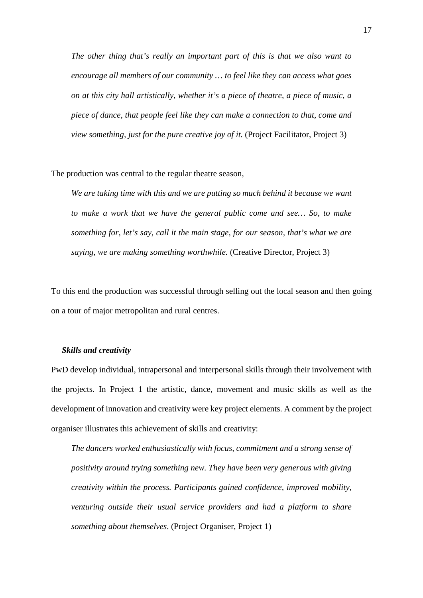*The other thing that's really an important part of this is that we also want to encourage all members of our community … to feel like they can access what goes on at this city hall artistically, whether it's a piece of theatre, a piece of music, a piece of dance, that people feel like they can make a connection to that, come and view something, just for the pure creative joy of it.* (Project Facilitator, Project 3)

The production was central to the regular theatre season,

*We are taking time with this and we are putting so much behind it because we want to make a work that we have the general public come and see… So, to make something for, let's say, call it the main stage, for our season, that's what we are saying, we are making something worthwhile.* (Creative Director, Project 3)

To this end the production was successful through selling out the local season and then going on a tour of major metropolitan and rural centres.

# *Skills and creativity*

PwD develop individual, intrapersonal and interpersonal skills through their involvement with the projects. In Project 1 the artistic, dance, movement and music skills as well as the development of innovation and creativity were key project elements. A comment by the project organiser illustrates this achievement of skills and creativity:

*The dancers worked enthusiastically with focus, commitment and a strong sense of positivity around trying something new. They have been very generous with giving creativity within the process. Participants gained confidence, improved mobility, venturing outside their usual service providers and had a platform to share something about themselves*. (Project Organiser, Project 1)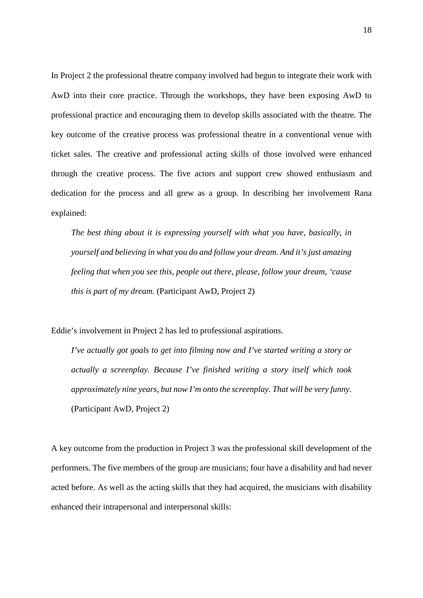In Project 2 the professional theatre company involved had begun to integrate their work with AwD into their core practice. Through the workshops, they have been exposing AwD to professional practice and encouraging them to develop skills associated with the theatre. The key outcome of the creative process was professional theatre in a conventional venue with ticket sales. The creative and professional acting skills of those involved were enhanced through the creative process. The five actors and support crew showed enthusiasm and dedication for the process and all grew as a group. In describing her involvement Rana explained:

*The best thing about it is expressing yourself with what you have, basically, in yourself and believing in what you do and follow your dream. And it's just amazing feeling that when you see this, people out there, please, follow your dream, 'cause this is part of my dream.* (Participant AwD, Project 2)

Eddie's involvement in Project 2 has led to professional aspirations.

*I've actually got goals to get into filming now and I've started writing a story or actually a screenplay. Because I've finished writing a story itself which took approximately nine years, but now I'm onto the screenplay. That will be very funny.*  (Participant AwD, Project 2)

A key outcome from the production in Project 3 was the professional skill development of the performers. The five members of the group are musicians; four have a disability and had never acted before. As well as the acting skills that they had acquired, the musicians with disability enhanced their intrapersonal and interpersonal skills: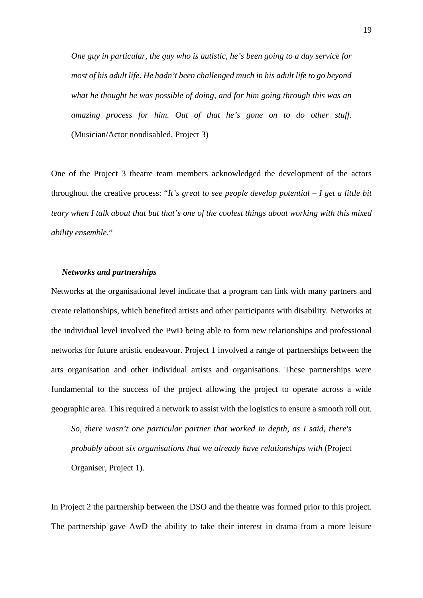*One guy in particular, the guy who is autistic, he's been going to a day service for most of his adult life. He hadn't been challenged much in his adult life to go beyond what he thought he was possible of doing, and for him going through this was an amazing process for him. Out of that he's gone on to do other stuff.*  (Musician/Actor nondisabled, Project 3)

One of the Project 3 theatre team members acknowledged the development of the actors throughout the creative process: "*It's great to see people develop potential – I get a little bit teary when I talk about that but that's one of the coolest things about working with this mixed ability ensemble*."

# *Networks and partnerships*

Networks at the organisational level indicate that a program can link with many partners and create relationships, which benefited artists and other participants with disability. Networks at the individual level involved the PwD being able to form new relationships and professional networks for future artistic endeavour. Project 1 involved a range of partnerships between the arts organisation and other individual artists and organisations. These partnerships were fundamental to the success of the project allowing the project to operate across a wide geographic area. This required a network to assist with the logistics to ensure a smooth roll out.

*So, there wasn't one particular partner that worked in depth, as I said, there's probably about six organisations that we already have relationships with* (Project Organiser, Project 1).

In Project 2 the partnership between the DSO and the theatre was formed prior to this project. The partnership gave AwD the ability to take their interest in drama from a more leisure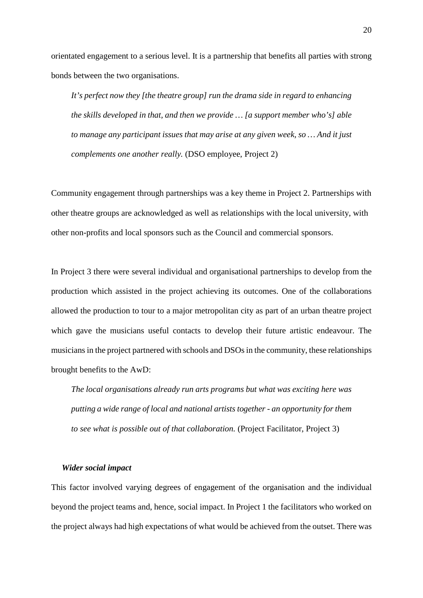orientated engagement to a serious level. It is a partnership that benefits all parties with strong bonds between the two organisations.

*It's perfect now they [the theatre group] run the drama side in regard to enhancing the skills developed in that, and then we provide … [a support member who's] able to manage any participant issues that may arise at any given week, so … And it just complements one another really.* (DSO employee, Project 2)

Community engagement through partnerships was a key theme in Project 2. Partnerships with other theatre groups are acknowledged as well as relationships with the local university, with other non-profits and local sponsors such as the Council and commercial sponsors.

In Project 3 there were several individual and organisational partnerships to develop from the production which assisted in the project achieving its outcomes. One of the collaborations allowed the production to tour to a major metropolitan city as part of an urban theatre project which gave the musicians useful contacts to develop their future artistic endeavour. The musicians in the project partnered with schools and DSOs in the community, these relationships brought benefits to the AwD:

*The local organisations already run arts programs but what was exciting here was putting a wide range of local and national artists together - an opportunity for them to see what is possible out of that collaboration.* (Project Facilitator, Project 3)

#### *Wider social impact*

This factor involved varying degrees of engagement of the organisation and the individual beyond the project teams and, hence, social impact. In Project 1 the facilitators who worked on the project always had high expectations of what would be achieved from the outset. There was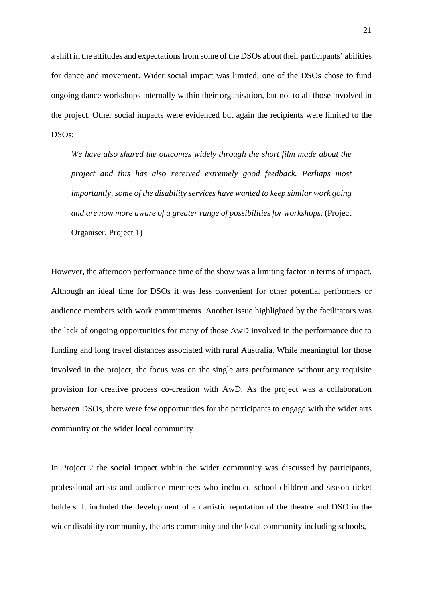a shift in the attitudes and expectations from some of the DSOs about their participants' abilities for dance and movement. Wider social impact was limited; one of the DSOs chose to fund ongoing dance workshops internally within their organisation, but not to all those involved in the project. Other social impacts were evidenced but again the recipients were limited to the DSOs:

*We have also shared the outcomes widely through the short film made about the project and this has also received extremely good feedback. Perhaps most importantly, some of the disability services have wanted to keep similar work going and are now more aware of a greater range of possibilities for workshops.* (Project Organiser, Project 1)

However, the afternoon performance time of the show was a limiting factor in terms of impact. Although an ideal time for DSOs it was less convenient for other potential performers or audience members with work commitments. Another issue highlighted by the facilitators was the lack of ongoing opportunities for many of those AwD involved in the performance due to funding and long travel distances associated with rural Australia. While meaningful for those involved in the project, the focus was on the single arts performance without any requisite provision for creative process co-creation with AwD. As the project was a collaboration between DSOs, there were few opportunities for the participants to engage with the wider arts community or the wider local community.

In Project 2 the social impact within the wider community was discussed by participants, professional artists and audience members who included school children and season ticket holders. It included the development of an artistic reputation of the theatre and DSO in the wider disability community, the arts community and the local community including schools,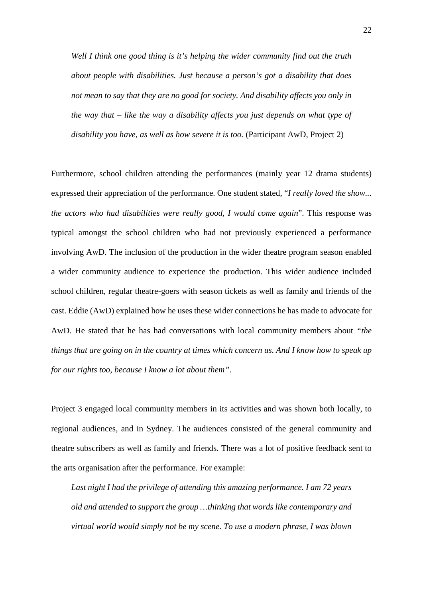*Well I think one good thing is it's helping the wider community find out the truth about people with disabilities. Just because a person's got a disability that does not mean to say that they are no good for society. And disability affects you only in the way that – like the way a disability affects you just depends on what type of disability you have, as well as how severe it is too.* (Participant AwD, Project 2)

Furthermore, school children attending the performances (mainly year 12 drama students) expressed their appreciation of the performance. One student stated, "*I really loved the show... the actors who had disabilities were really good, I would come again*". This response was typical amongst the school children who had not previously experienced a performance involving AwD. The inclusion of the production in the wider theatre program season enabled a wider community audience to experience the production. This wider audience included school children, regular theatre-goers with season tickets as well as family and friends of the cast. Eddie (AwD) explained how he uses these wider connections he has made to advocate for AwD. He stated that he has had conversations with local community members about *"the things that are going on in the country at times which concern us. And I know how to speak up for our rights too, because I know a lot about them".*

Project 3 engaged local community members in its activities and was shown both locally, to regional audiences, and in Sydney. The audiences consisted of the general community and theatre subscribers as well as family and friends. There was a lot of positive feedback sent to the arts organisation after the performance. For example:

*Last night I had the privilege of attending this amazing performance. I am 72 years old and attended to support the group …thinking that words like contemporary and virtual world would simply not be my scene. To use a modern phrase, I was blown*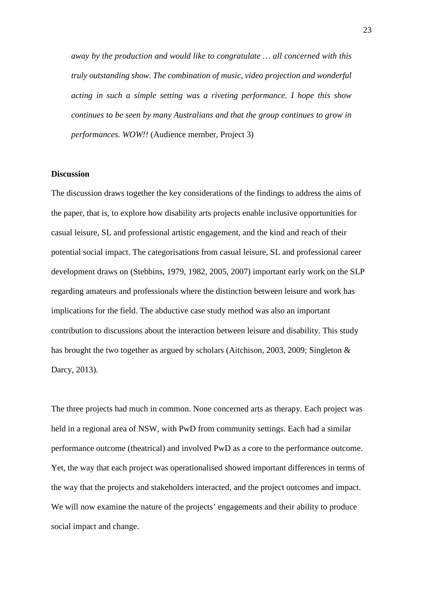*away by the production and would like to congratulate … all concerned with this truly outstanding show. The combination of music, video projection and wonderful acting in such a simple setting was a riveting performance. I hope this show continues to be seen by many Australians and that the group continues to grow in performances. WOW!!* (Audience member, Project 3)

## **Discussion**

The discussion draws together the key considerations of the findings to address the aims of the paper, that is, to explore how disability arts projects enable inclusive opportunities for casual leisure, SL and professional artistic engagement, and the kind and reach of their potential social impact. The categorisations from casual leisure, SL and professional career development draws on (Stebbins, 1979, 1982, 2005, 2007) important early work on the SLP regarding amateurs and professionals where the distinction between leisure and work has implications for the field. The abductive case study method was also an important contribution to discussions about the interaction between leisure and disability. This study has brought the two together as argued by scholars (Aitchison, 2003, 2009; Singleton & Darcy, 2013).

The three projects had much in common. None concerned arts as therapy. Each project was held in a regional area of NSW, with PwD from community settings. Each had a similar performance outcome (theatrical) and involved PwD as a core to the performance outcome. Yet, the way that each project was operationalised showed important differences in terms of the way that the projects and stakeholders interacted, and the project outcomes and impact. We will now examine the nature of the projects' engagements and their ability to produce social impact and change.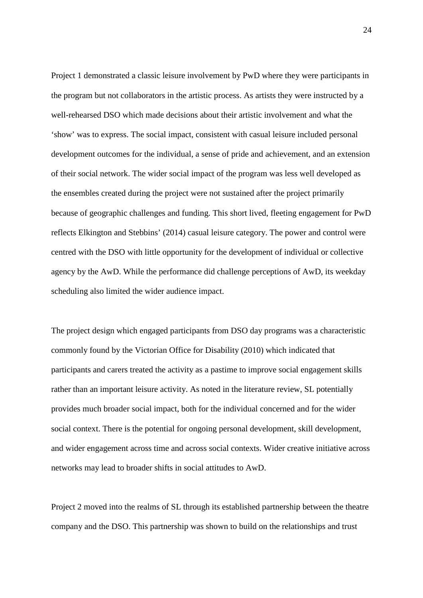Project 1 demonstrated a classic leisure involvement by PwD where they were participants in the program but not collaborators in the artistic process. As artists they were instructed by a well-rehearsed DSO which made decisions about their artistic involvement and what the 'show' was to express. The social impact, consistent with casual leisure included personal development outcomes for the individual, a sense of pride and achievement, and an extension of their social network. The wider social impact of the program was less well developed as the ensembles created during the project were not sustained after the project primarily because of geographic challenges and funding. This short lived, fleeting engagement for PwD reflects Elkington and Stebbins' (2014) casual leisure category. The power and control were centred with the DSO with little opportunity for the development of individual or collective agency by the AwD. While the performance did challenge perceptions of AwD, its weekday scheduling also limited the wider audience impact.

The project design which engaged participants from DSO day programs was a characteristic commonly found by the Victorian Office for Disability (2010) which indicated that participants and carers treated the activity as a pastime to improve social engagement skills rather than an important leisure activity. As noted in the literature review, SL potentially provides much broader social impact, both for the individual concerned and for the wider social context. There is the potential for ongoing personal development, skill development, and wider engagement across time and across social contexts. Wider creative initiative across networks may lead to broader shifts in social attitudes to AwD.

Project 2 moved into the realms of SL through its established partnership between the theatre company and the DSO. This partnership was shown to build on the relationships and trust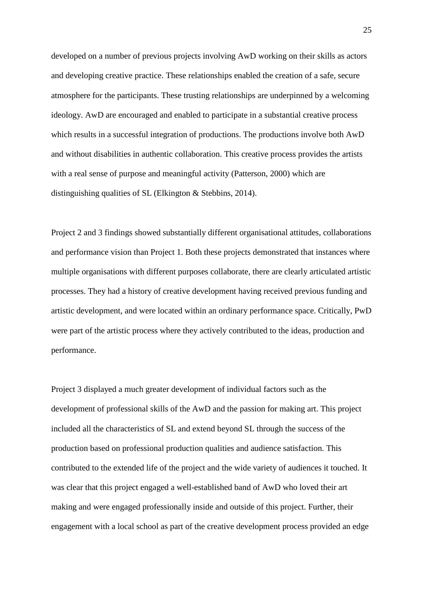developed on a number of previous projects involving AwD working on their skills as actors and developing creative practice. These relationships enabled the creation of a safe, secure atmosphere for the participants. These trusting relationships are underpinned by a welcoming ideology. AwD are encouraged and enabled to participate in a substantial creative process which results in a successful integration of productions. The productions involve both AwD and without disabilities in authentic collaboration. This creative process provides the artists with a real sense of purpose and meaningful activity (Patterson, 2000) which are distinguishing qualities of SL (Elkington & Stebbins, 2014).

Project 2 and 3 findings showed substantially different organisational attitudes, collaborations and performance vision than Project 1. Both these projects demonstrated that instances where multiple organisations with different purposes collaborate, there are clearly articulated artistic processes. They had a history of creative development having received previous funding and artistic development, and were located within an ordinary performance space. Critically, PwD were part of the artistic process where they actively contributed to the ideas, production and performance.

Project 3 displayed a much greater development of individual factors such as the development of professional skills of the AwD and the passion for making art. This project included all the characteristics of SL and extend beyond SL through the success of the production based on professional production qualities and audience satisfaction. This contributed to the extended life of the project and the wide variety of audiences it touched. It was clear that this project engaged a well-established band of AwD who loved their art making and were engaged professionally inside and outside of this project. Further, their engagement with a local school as part of the creative development process provided an edge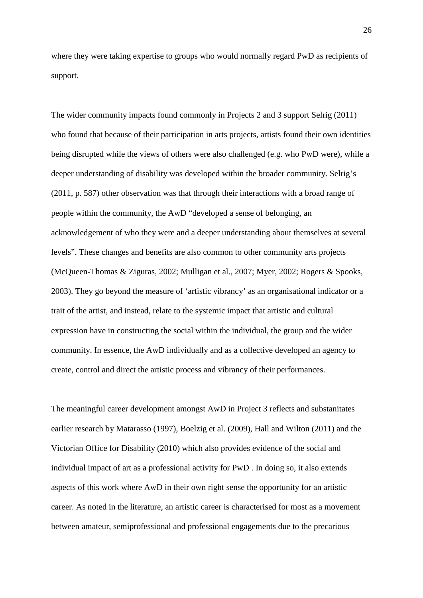where they were taking expertise to groups who would normally regard PwD as recipients of support.

The wider community impacts found commonly in Projects 2 and 3 support Selrig (2011) who found that because of their participation in arts projects, artists found their own identities being disrupted while the views of others were also challenged (e.g. who PwD were), while a deeper understanding of disability was developed within the broader community. Selrig's (2011, p. 587) other observation was that through their interactions with a broad range of people within the community, the AwD "developed a sense of belonging, an acknowledgement of who they were and a deeper understanding about themselves at several levels". These changes and benefits are also common to other community arts projects (McQueen-Thomas & Ziguras, 2002; Mulligan et al., 2007; Myer, 2002; Rogers & Spooks, 2003). They go beyond the measure of 'artistic vibrancy' as an organisational indicator or a trait of the artist, and instead, relate to the systemic impact that artistic and cultural expression have in constructing the social within the individual, the group and the wider community. In essence, the AwD individually and as a collective developed an agency to create, control and direct the artistic process and vibrancy of their performances.

The meaningful career development amongst AwD in Project 3 reflects and substanitates earlier research by Matarasso (1997), Boelzig et al. (2009), Hall and Wilton (2011) and the Victorian Office for Disability (2010) which also provides evidence of the social and individual impact of art as a professional activity for PwD . In doing so, it also extends aspects of this work where AwD in their own right sense the opportunity for an artistic career. As noted in the literature, an artistic career is characterised for most as a movement between amateur, semiprofessional and professional engagements due to the precarious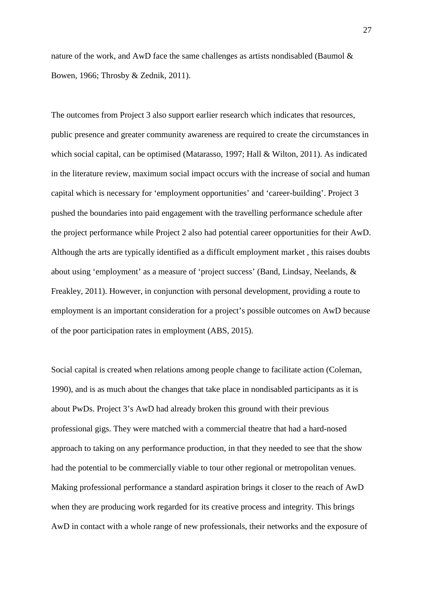nature of the work, and AwD face the same challenges as artists nondisabled (Baumol  $\&$ Bowen, 1966; Throsby & Zednik, 2011).

The outcomes from Project 3 also support earlier research which indicates that resources, public presence and greater community awareness are required to create the circumstances in which social capital, can be optimised (Matarasso, 1997; Hall & Wilton, 2011). As indicated in the literature review, maximum social impact occurs with the increase of social and human capital which is necessary for 'employment opportunities' and 'career-building'. Project 3 pushed the boundaries into paid engagement with the travelling performance schedule after the project performance while Project 2 also had potential career opportunities for their AwD. Although the arts are typically identified as a difficult employment market , this raises doubts about using 'employment' as a measure of 'project success' (Band, Lindsay, Neelands, & Freakley, 2011). However, in conjunction with personal development, providing a route to employment is an important consideration for a project's possible outcomes on AwD because of the poor participation rates in employment (ABS, 2015).

Social capital is created when relations among people change to facilitate action (Coleman, 1990), and is as much about the changes that take place in nondisabled participants as it is about PwDs. Project 3's AwD had already broken this ground with their previous professional gigs. They were matched with a commercial theatre that had a hard-nosed approach to taking on any performance production, in that they needed to see that the show had the potential to be commercially viable to tour other regional or metropolitan venues. Making professional performance a standard aspiration brings it closer to the reach of AwD when they are producing work regarded for its creative process and integrity. This brings AwD in contact with a whole range of new professionals, their networks and the exposure of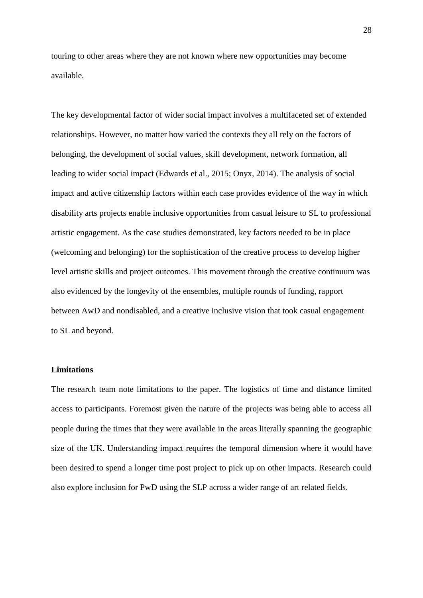touring to other areas where they are not known where new opportunities may become available.

The key developmental factor of wider social impact involves a multifaceted set of extended relationships. However, no matter how varied the contexts they all rely on the factors of belonging, the development of social values, skill development, network formation, all leading to wider social impact (Edwards et al., 2015; Onyx, 2014). The analysis of social impact and active citizenship factors within each case provides evidence of the way in which disability arts projects enable inclusive opportunities from casual leisure to SL to professional artistic engagement. As the case studies demonstrated, key factors needed to be in place (welcoming and belonging) for the sophistication of the creative process to develop higher level artistic skills and project outcomes. This movement through the creative continuum was also evidenced by the longevity of the ensembles, multiple rounds of funding, rapport between AwD and nondisabled, and a creative inclusive vision that took casual engagement to SL and beyond.

# **Limitations**

The research team note limitations to the paper. The logistics of time and distance limited access to participants. Foremost given the nature of the projects was being able to access all people during the times that they were available in the areas literally spanning the geographic size of the UK. Understanding impact requires the temporal dimension where it would have been desired to spend a longer time post project to pick up on other impacts. Research could also explore inclusion for PwD using the SLP across a wider range of art related fields.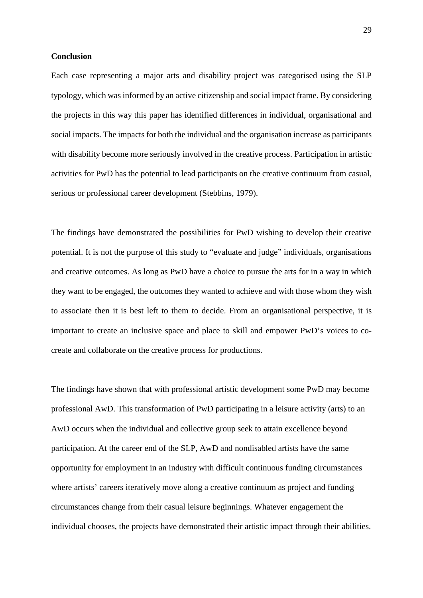## **Conclusion**

Each case representing a major arts and disability project was categorised using the SLP typology, which was informed by an active citizenship and social impact frame. By considering the projects in this way this paper has identified differences in individual, organisational and social impacts. The impacts for both the individual and the organisation increase as participants with disability become more seriously involved in the creative process. Participation in artistic activities for PwD has the potential to lead participants on the creative continuum from casual, serious or professional career development (Stebbins, 1979).

The findings have demonstrated the possibilities for PwD wishing to develop their creative potential. It is not the purpose of this study to "evaluate and judge" individuals, organisations and creative outcomes. As long as PwD have a choice to pursue the arts for in a way in which they want to be engaged, the outcomes they wanted to achieve and with those whom they wish to associate then it is best left to them to decide. From an organisational perspective, it is important to create an inclusive space and place to skill and empower PwD's voices to cocreate and collaborate on the creative process for productions.

The findings have shown that with professional artistic development some PwD may become professional AwD. This transformation of PwD participating in a leisure activity (arts) to an AwD occurs when the individual and collective group seek to attain excellence beyond participation. At the career end of the SLP, AwD and nondisabled artists have the same opportunity for employment in an industry with difficult continuous funding circumstances where artists' careers iteratively move along a creative continuum as project and funding circumstances change from their casual leisure beginnings. Whatever engagement the individual chooses, the projects have demonstrated their artistic impact through their abilities.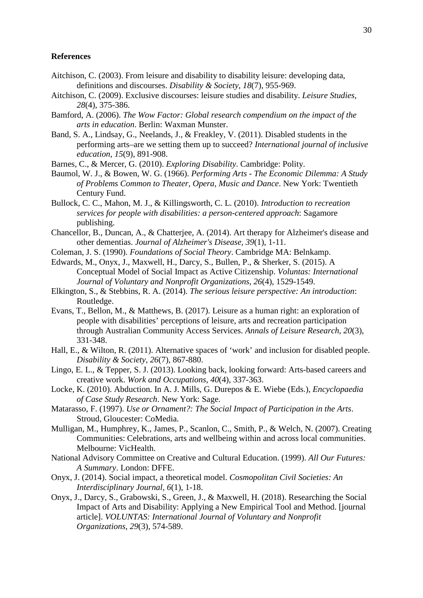# **References**

- Aitchison, C. (2003). From leisure and disability to disability leisure: developing data, definitions and discourses. *Disability & Society, 18*(7), 955-969.
- Aitchison, C. (2009). Exclusive discourses: leisure studies and disability. *Leisure Studies, 28*(4), 375-386.
- Bamford, A. (2006). *The Wow Factor: Global research compendium on the impact of the arts in education*. Berlin: Waxman Munster.
- Band, S. A., Lindsay, G., Neelands, J., & Freakley, V. (2011). Disabled students in the performing arts–are we setting them up to succeed? *International journal of inclusive education, 15*(9), 891-908.
- Barnes, C., & Mercer, G. (2010). *Exploring Disability*. Cambridge: Polity.
- Baumol, W. J., & Bowen, W. G. (1966). *Performing Arts - The Economic Dilemma: A Study of Problems Common to Theater, Opera, Music and Dance*. New York: Twentieth Century Fund.
- Bullock, C. C., Mahon, M. J., & Killingsworth, C. L. (2010). *Introduction to recreation services for people with disabilities: a person-centered approach*: Sagamore publishing.
- Chancellor, B., Duncan, A., & Chatterjee, A. (2014). Art therapy for Alzheimer's disease and other dementias. *Journal of Alzheimer's Disease, 39*(1), 1-11.
- Coleman, J. S. (1990). *Foundations of Social Theory*. Cambridge MA: Belnkamp.
- Edwards, M., Onyx, J., Maxwell, H., Darcy, S., Bullen, P., & Sherker, S. (2015). A Conceptual Model of Social Impact as Active Citizenship. *Voluntas: International Journal of Voluntary and Nonprofit Organizations, 26*(4), 1529-1549.
- Elkington, S., & Stebbins, R. A. (2014). *The serious leisure perspective: An introduction*: Routledge.
- Evans, T., Bellon, M., & Matthews, B. (2017). Leisure as a human right: an exploration of people with disabilities' perceptions of leisure, arts and recreation participation through Australian Community Access Services. *Annals of Leisure Research, 20*(3), 331-348.
- Hall, E., & Wilton, R. (2011). Alternative spaces of 'work' and inclusion for disabled people. *Disability & Society, 26*(7), 867-880.
- Lingo, E. L., & Tepper, S. J. (2013). Looking back, looking forward: Arts-based careers and creative work. *Work and Occupations, 40*(4), 337-363.
- Locke, K. (2010). Abduction. In A. J. Mills, G. Durepos & E. Wiebe (Eds.), *Encyclopaedia of Case Study Research*. New York: Sage.
- Matarasso, F. (1997). *Use or Ornament?: The Social Impact of Participation in the Arts*. Stroud, Gloucester: CoMedia.
- Mulligan, M., Humphrey, K., James, P., Scanlon, C., Smith, P., & Welch, N. (2007). Creating Communities: Celebrations, arts and wellbeing within and across local communities. Melbourne: VicHealth.
- National Advisory Committee on Creative and Cultural Education. (1999). *All Our Futures: A Summary*. London: DFFE.
- Onyx, J. (2014). Social impact, a theoretical model. *Cosmopolitan Civil Societies: An Interdisciplinary Journal, 6*(1), 1-18.
- Onyx, J., Darcy, S., Grabowski, S., Green, J., & Maxwell, H. (2018). Researching the Social Impact of Arts and Disability: Applying a New Empirical Tool and Method. [journal article]. *VOLUNTAS: International Journal of Voluntary and Nonprofit Organizations, 29*(3), 574-589.